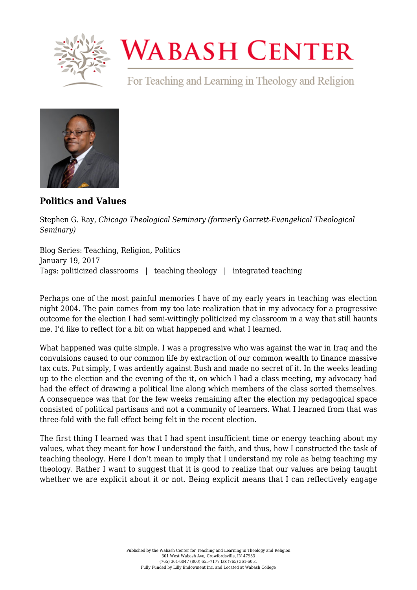

## **WABASH CENTER**

For Teaching and Learning in Theology and Religion



**[Politics and Values](https://www.wabashcenter.wabash.edu/2017/01/politics-and-values/)**

Stephen G. Ray, *Chicago Theological Seminary (formerly Garrett-Evangelical Theological Seminary)*

Blog Series: Teaching, Religion, Politics January 19, 2017 Tags: politicized classrooms | teaching theology | integrated teaching

Perhaps one of the most painful memories I have of my early years in teaching was election night 2004. The pain comes from my too late realization that in my advocacy for a progressive outcome for the election I had semi-wittingly politicized my classroom in a way that still haunts me. I'd like to reflect for a bit on what happened and what I learned.

What happened was quite simple. I was a progressive who was against the war in Iraq and the convulsions caused to our common life by extraction of our common wealth to finance massive tax cuts. Put simply, I was ardently against Bush and made no secret of it. In the weeks leading up to the election and the evening of the it, on which I had a class meeting, my advocacy had had the effect of drawing a political line along which members of the class sorted themselves. A consequence was that for the few weeks remaining after the election my pedagogical space consisted of political partisans and not a community of learners. What I learned from that was three-fold with the full effect being felt in the recent election.

The first thing I learned was that I had spent insufficient time or energy teaching about my values, what they meant for how I understood the faith, and thus, how I constructed the task of teaching theology. Here I don't mean to imply that I understand my role as being teaching my theology. Rather I want to suggest that it is good to realize that our values are being taught whether we are explicit about it or not. Being explicit means that I can reflectively engage